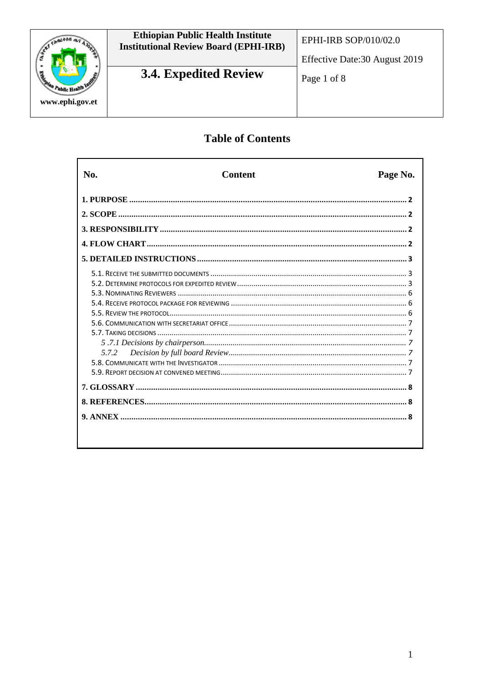

# **Ethiopian Public Health Institute<br>Institutional Review Board (EPHI-IRB)**

EPHI-IRB SOP/010/02.0

Effective Date: 30 August 2019

## 3.4. Expedited Review

## **Table of Contents**

| N <sub>0</sub> | <b>Content</b> | Page No. |
|----------------|----------------|----------|
|                |                |          |
|                |                |          |
|                |                |          |
|                |                |          |
|                |                |          |
|                |                |          |
|                |                |          |
|                |                |          |
|                |                |          |
|                |                |          |
|                |                |          |
|                |                |          |
|                |                |          |
| 5.7.2          |                |          |
|                |                |          |
|                |                |          |
|                |                |          |
|                |                |          |
|                |                |          |
|                |                |          |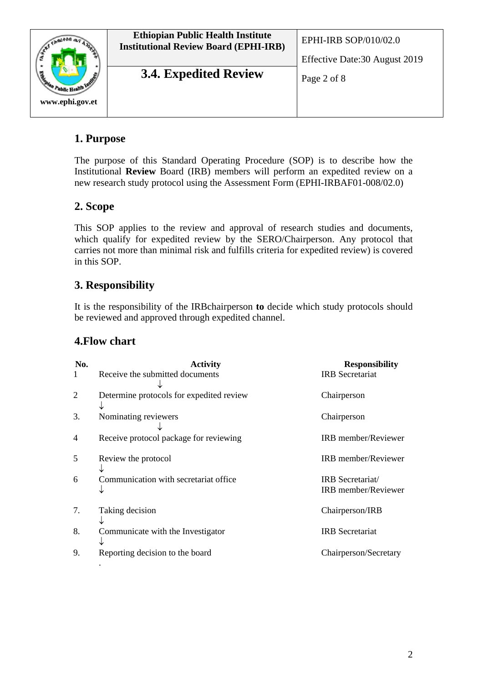

**3.4. Expedited Review**  $\log_2 2$  of 8

Effective Date:30 August 2019

## **1. Purpose**

The purpose of this Standard Operating Procedure (SOP) is to describe how the Institutional **Review** Board (IRB) members will perform an expedited review on a new research study protocol using the Assessment Form (EPHI-IRBAF01-008/02.0)

## **2. Scope**

This SOP applies to the review and approval of research studies and documents, which qualify for expedited review by the SERO/Chairperson. Any protocol that carries not more than minimal risk and fulfills criteria for expedited review) is covered in this SOP.

## **3. Responsibility**

It is the responsibility of the IRBchairperson **to** decide which study protocols should be reviewed and approved through expedited channel.

## **4.Flow chart**

| No.<br>1       | <b>Activity</b><br>Receive the submitted documents | <b>Responsibility</b><br><b>IRB</b> Secretariat |
|----------------|----------------------------------------------------|-------------------------------------------------|
| 2              | Determine protocols for expedited review           | Chairperson                                     |
| 3.             | Nominating reviewers                               | Chairperson                                     |
| $\overline{4}$ | Receive protocol package for reviewing             | <b>IRB</b> member/Reviewer                      |
| 5              | Review the protocol                                | <b>IRB</b> member/Reviewer                      |
| 6              | Communication with secretariat office              | IRB Secretariat/<br><b>IRB</b> member/Reviewer  |
| 7.             | Taking decision                                    | Chairperson/IRB                                 |
| 8.             | Communicate with the Investigator                  | <b>IRB</b> Secretariat                          |
| 9.             | Reporting decision to the board                    | Chairperson/Secretary                           |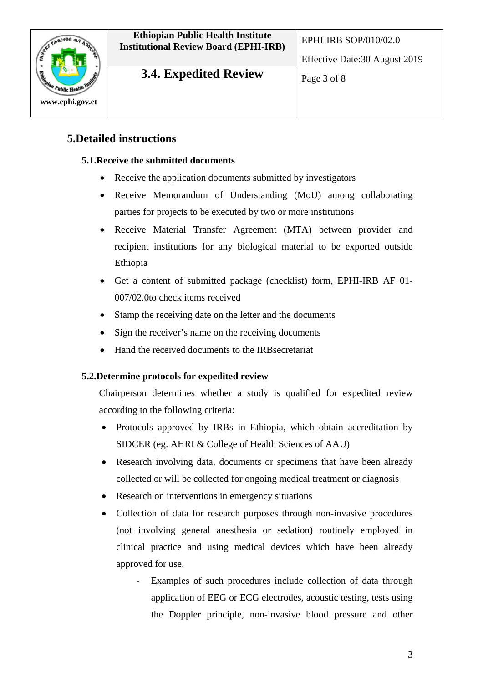

**3.4. Expedited Review**  $\left[\begin{array}{cc} \mathbf{p}_{\text{age 3 of 8}} \\ \mathbf{p}_{\text{age 3 of 8}} \end{array}\right]$ 

#### **5.Detailed instructions**

#### **5.1.Receive the submitted documents**

- Receive the application documents submitted by investigators
- Receive Memorandum of Understanding (MoU) among collaborating parties for projects to be executed by two or more institutions
- Receive Material Transfer Agreement (MTA) between provider and recipient institutions for any biological material to be exported outside Ethiopia
- Get a content of submitted package (checklist) form, EPHI-IRB AF 01- 007/02.0to check items received
- Stamp the receiving date on the letter and the documents
- Sign the receiver's name on the receiving documents
- Hand the received documents to the IRBsecretariat

#### **5.2.Determine protocols for expedited review**

Chairperson determines whether a study is qualified for expedited review according to the following criteria:

- Protocols approved by IRBs in Ethiopia, which obtain accreditation by SIDCER (eg. AHRI & College of Health Sciences of AAU)
- Research involving data, documents or specimens that have been already collected or will be collected for ongoing medical treatment or diagnosis
- Research on interventions in emergency situations
- Collection of data for research purposes through non-invasive procedures (not involving general anesthesia or sedation) routinely employed in clinical practice and using medical devices which have been already approved for use.
	- Examples of such procedures include collection of data through application of EEG or ECG electrodes, acoustic testing, tests using the Doppler principle, non-invasive blood pressure and other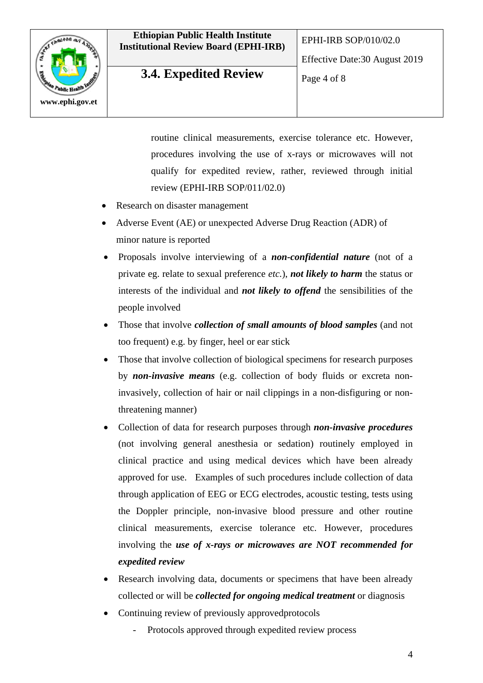

## **3.4. Expedited Review**  $\log_{\text{Page 4 of 8}}$

Effective Date:30 August 2019

routine clinical measurements, exercise tolerance etc. However, procedures involving the use of x-rays or microwaves will not qualify for expedited review, rather, reviewed through initial review (EPHI-IRB SOP/011/02.0)

- Research on disaster management
- Adverse Event (AE) or unexpected Adverse Drug Reaction (ADR) of minor nature is reported
- Proposals involve interviewing of a *non-confidential nature* (not of a private eg. relate to sexual preference *etc.*), *not likely to harm* the status or interests of the individual and *not likely to offend* the sensibilities of the people involved
- Those that involve *collection of small amounts of blood samples* (and not too frequent) e.g. by finger, heel or ear stick
- Those that involve collection of biological specimens for research purposes by *non-invasive means* (e.g. collection of body fluids or excreta noninvasively, collection of hair or nail clippings in a non-disfiguring or nonthreatening manner)
- Collection of data for research purposes through *non-invasive procedures* (not involving general anesthesia or sedation) routinely employed in clinical practice and using medical devices which have been already approved for use. Examples of such procedures include collection of data through application of EEG or ECG electrodes, acoustic testing, tests using the Doppler principle, non-invasive blood pressure and other routine clinical measurements, exercise tolerance etc. However, procedures involving the *use of x-rays or microwaves are NOT recommended for expedited review*
- Research involving data, documents or specimens that have been already collected or will be *collected for ongoing medical treatment* or diagnosis
- Continuing review of previously approved protocols
	- Protocols approved through expedited review process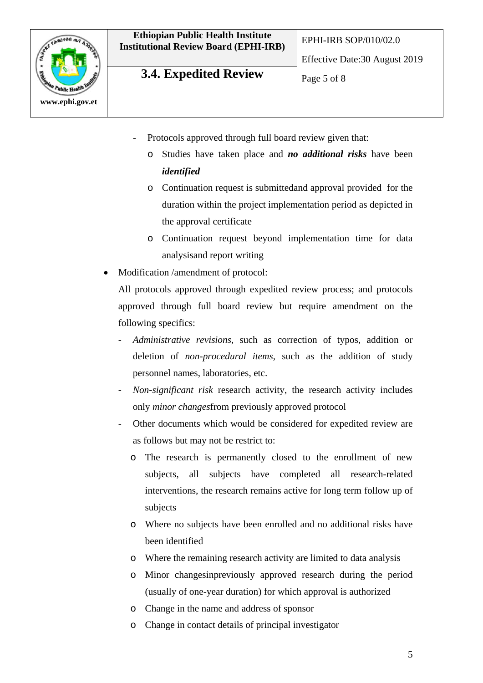



## **3.4. Expedited Review**  $\log_{10} 5 \text{ of } 8$

Effective Date:30 August 2019

- Protocols approved through full board review given that:
	- o Studies have taken place and *no additional risks* have been *identified*
	- o Continuation request is submittedand approval provided for the duration within the project implementation period as depicted in the approval certificate
	- o Continuation request beyond implementation time for data analysisand report writing
- Modification /amendment of protocol:

All protocols approved through expedited review process; and protocols approved through full board review but require amendment on the following specifics:

- *Administrative revisions*, such as correction of typos, addition or deletion of *non-procedural items*, such as the addition of study personnel names, laboratories, etc.
- *Non-significant risk* research activity, the research activity includes only *minor changes*from previously approved protocol
- Other documents which would be considered for expedited review are as follows but may not be restrict to:
	- o The research is permanently closed to the enrollment of new subjects, all subjects have completed all research-related interventions, the research remains active for long term follow up of subjects
	- o Where no subjects have been enrolled and no additional risks have been identified
	- o Where the remaining research activity are limited to data analysis
	- o Minor changesinpreviously approved research during the period (usually of one-year duration) for which approval is authorized
	- o Change in the name and address of sponsor
	- o Change in contact details of principal investigator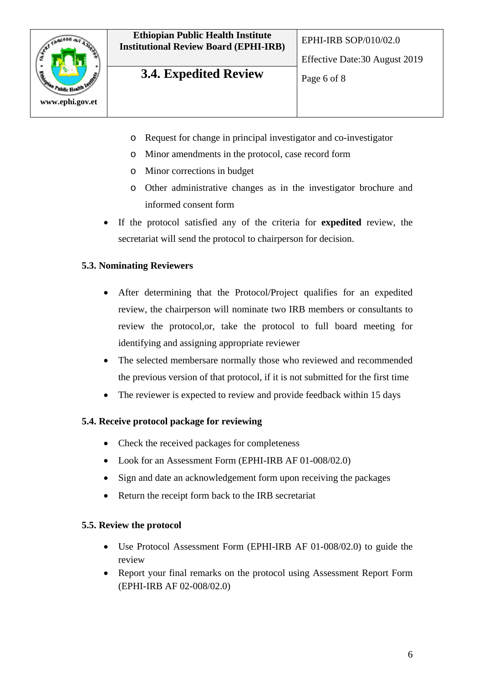



## **3.4. Expedited Review**  $\log_{\theta} 6 \text{ of } 8$

Effective Date:30 August 2019

- o Request for change in principal investigator and co-investigator
- o Minor amendments in the protocol, case record form
- o Minor corrections in budget
- o Other administrative changes as in the investigator brochure and informed consent form
- If the protocol satisfied any of the criteria for **expedited** review, the secretariat will send the protocol to chairperson for decision.

#### **5.3. Nominating Reviewers**

- After determining that the Protocol/Project qualifies for an expedited review, the chairperson will nominate two IRB members or consultants to review the protocol,or, take the protocol to full board meeting for identifying and assigning appropriate reviewer
- The selected membersare normally those who reviewed and recommended the previous version of that protocol, if it is not submitted for the first time
- The reviewer is expected to review and provide feedback within 15 days

#### **5.4. Receive protocol package for reviewing**

- Check the received packages for completeness
- Look for an Assessment Form (EPHI-IRB AF 01-008/02.0)
- Sign and date an acknowledgement form upon receiving the packages
- Return the receipt form back to the IRB secretariat

#### **5.5. Review the protocol**

- Use Protocol Assessment Form (EPHI-IRB AF 01-008/02.0) to guide the review
- Report your final remarks on the protocol using Assessment Report Form (EPHI-IRB AF 02-008/02.0)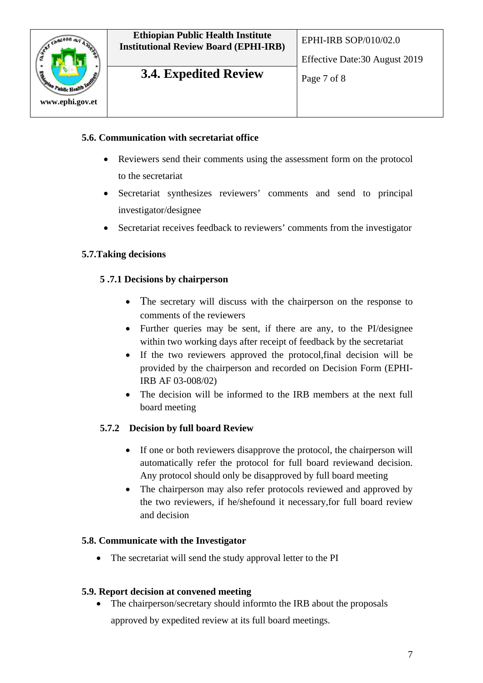

**3.4. Expedited Review**  $\log_7$  of 8

#### **5.6. Communication with secretariat office**

- Reviewers send their comments using the assessment form on the protocol to the secretariat
- Secretariat synthesizes reviewers' comments and send to principal investigator/designee
- Secretariat receives feedback to reviewers' comments from the investigator

#### **5.7.Taking decisions**

#### **5 .7.1 Decisions by chairperson**

- The secretary will discuss with the chairperson on the response to comments of the reviewers
- Further queries may be sent, if there are any, to the PI/designee within two working days after receipt of feedback by the secretariat
- If the two reviewers approved the protocol,final decision will be provided by the chairperson and recorded on Decision Form (EPHI-IRB AF 03-008/02)
- The decision will be informed to the IRB members at the next full board meeting

#### **5.7.2 Decision by full board Review**

- If one or both reviewers disapprove the protocol, the chairperson will automatically refer the protocol for full board reviewand decision. Any protocol should only be disapproved by full board meeting
- The chairperson may also refer protocols reviewed and approved by the two reviewers, if he/shefound it necessary,for full board review and decision

#### **5.8. Communicate with the Investigator**

The secretariat will send the study approval letter to the PI

#### **5.9. Report decision at convened meeting**

• The chairperson/secretary should informto the IRB about the proposals approved by expedited review at its full board meetings.